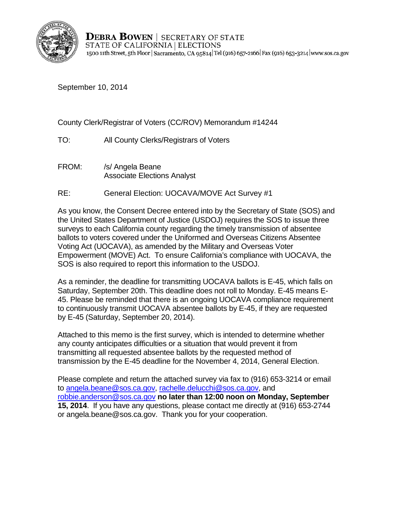

**DEBRA BOWEN** | SECRETARY OF STATE STATE OF CALIFORNIA | ELECTIONS 1500 11th Street, 5th Floor | Sacramento, CA 95814 Tel (916) 657-2166 | Fax (916) 653-3214 | www.sos.ca.gov

September 10, 2014

County Clerk/Registrar of Voters (CC/ROV) Memorandum #14244

- TO: All County Clerks/Registrars of Voters
- FROM: /s/ Angela Beane Associate Elections Analyst
- RE: General Election: UOCAVA/MOVE Act Survey #1

As you know, the Consent Decree entered into by the Secretary of State (SOS) and the United States Department of Justice (USDOJ) requires the SOS to issue three surveys to each California county regarding the timely transmission of absentee ballots to voters covered under the Uniformed and Overseas Citizens Absentee Voting Act (UOCAVA), as amended by the Military and Overseas Voter Empowerment (MOVE) Act. To ensure California's compliance with UOCAVA, the SOS is also required to report this information to the USDOJ.

As a reminder, the deadline for transmitting UOCAVA ballots is E-45, which falls on Saturday, September 20th. This deadline does not roll to Monday. E-45 means E-45. Please be reminded that there is an ongoing UOCAVA compliance requirement to continuously transmit UOCAVA absentee ballots by E-45, if they are requested by E-45 (Saturday, September 20, 2014).

Attached to this memo is the first survey, which is intended to determine whether any county anticipates difficulties or a situation that would prevent it from transmitting all requested absentee ballots by the requested method of transmission by the E-45 deadline for the November 4, 2014, General Election.

Please complete and return the attached survey via fax to (916) 653-3214 or email to [angela.beane@sos.ca.gov,](mailto:angela.beane@sos.ca.gov) [rachelle.delucchi@sos.ca.gov,](mailto:rachelle.delucchi@sos.ca.gov) and [robbie.anderson@sos.ca.gov](mailto:robbie.anderson@sos.ca.gov) **no later than 12:00 noon on Monday, September 15, 2014**. If you have any questions, please contact me directly at (916) 653-2744 or angela.beane@sos.ca.gov. Thank you for your cooperation.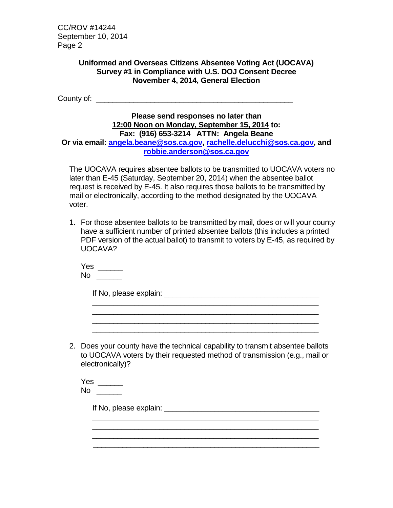CC/ROV #14244 September 10, 2014 Page 2

## **Uniformed and Overseas Citizens Absentee Voting Act (UOCAVA) Survey #1 in Compliance with U.S. DOJ Consent Decree November 4, 2014, General Election**

County of: \_\_\_\_\_\_\_\_\_\_\_\_\_\_\_\_\_\_\_\_\_\_\_\_\_\_\_\_\_\_\_\_\_\_\_\_\_\_\_\_\_\_\_\_\_\_\_

## **Please send responses no later than 12:00 Noon on Monday, September 15, 2014 to: Fax: (916) 653-3214 ATTN: Angela Beane Or via email: [angela.beane@sos.ca.gov,](mailto:angela.beane@sos.ca.gov) [rachelle.delucchi@sos.ca.gov,](mailto:rachelle.delucchi@sos.ca.gov) and [robbie.anderson@sos.ca.gov](mailto:robbie.anderson@sos.ca.gov)**

The UOCAVA requires absentee ballots to be transmitted to UOCAVA voters no later than E-45 (Saturday, September 20, 2014) when the absentee ballot request is received by E-45. It also requires those ballots to be transmitted by mail or electronically, according to the method designated by the UOCAVA voter.

1. For those absentee ballots to be transmitted by mail, does or will your county have a sufficient number of printed absentee ballots (this includes a printed PDF version of the actual ballot) to transmit to voters by E-45, as required by UOCAVA?

\_\_\_\_\_\_\_\_\_\_\_\_\_\_\_\_\_\_\_\_\_\_\_\_\_\_\_\_\_\_\_\_\_\_\_\_\_\_\_\_\_\_\_\_\_\_\_\_\_\_\_\_\_\_ \_\_\_\_\_\_\_\_\_\_\_\_\_\_\_\_\_\_\_\_\_\_\_\_\_\_\_\_\_\_\_\_\_\_\_\_\_\_\_\_\_\_\_\_\_\_\_\_\_\_\_\_\_\_ \_\_\_\_\_\_\_\_\_\_\_\_\_\_\_\_\_\_\_\_\_\_\_\_\_\_\_\_\_\_\_\_\_\_\_\_\_\_\_\_\_\_\_\_\_\_\_\_\_\_\_\_\_\_ \_\_\_\_\_\_\_\_\_\_\_\_\_\_\_\_\_\_\_\_\_\_\_\_\_\_\_\_\_\_\_\_\_\_\_\_\_\_\_\_\_\_\_\_\_\_\_\_\_\_\_\_\_\_

Yes \_\_\_\_\_\_  $No$   $\qquad \qquad \Box$ 

If No, please explain: \_\_\_\_\_\_\_\_\_\_\_\_\_\_\_\_\_\_\_\_\_\_\_\_\_\_\_\_\_\_\_\_\_\_\_\_\_

2. Does your county have the technical capability to transmit absentee ballots to UOCAVA voters by their requested method of transmission (e.g., mail or electronically)?

\_\_\_\_\_\_\_\_\_\_\_\_\_\_\_\_\_\_\_\_\_\_\_\_\_\_\_\_\_\_\_\_\_\_\_\_\_\_\_\_\_\_\_\_\_\_\_\_\_\_\_\_\_\_

 $\frac{1}{\sqrt{2}}$  ,  $\frac{1}{\sqrt{2}}$  ,  $\frac{1}{\sqrt{2}}$  ,  $\frac{1}{\sqrt{2}}$  ,  $\frac{1}{\sqrt{2}}$  ,  $\frac{1}{\sqrt{2}}$  ,  $\frac{1}{\sqrt{2}}$  ,  $\frac{1}{\sqrt{2}}$  ,  $\frac{1}{\sqrt{2}}$  ,  $\frac{1}{\sqrt{2}}$  ,  $\frac{1}{\sqrt{2}}$  ,  $\frac{1}{\sqrt{2}}$  ,  $\frac{1}{\sqrt{2}}$  ,  $\frac{1}{\sqrt{2}}$  ,  $\frac{1}{\sqrt{2}}$ 

| Yes |  |
|-----|--|
| N٥  |  |

If No, please explain: \_\_\_\_\_\_\_\_\_\_\_\_\_\_\_\_\_\_\_\_\_\_\_\_\_\_\_\_\_\_\_\_\_\_\_\_\_